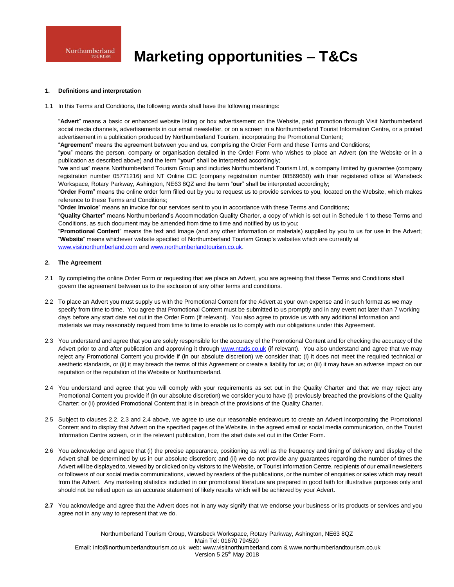# **Marketing opportunities – T&Cs**

### **1. Definitions and interpretation**

1.1 In this Terms and Conditions, the following words shall have the following meanings:

"**Advert**" means a basic or enhanced website listing or box advertisement on the Website, paid promotion through Visit Northumberland social media channels, advertisements in our email newsletter, or on a screen in a Northumberland Tourist Information Centre, or a printed advertisement in a publication produced by Northumberland Tourism, incorporating the Promotional Content;

"**Agreement**" means the agreement between you and us, comprising the Order Form and these Terms and Conditions;

"**you**" means the person, company or organisation detailed in the Order Form who wishes to place an Advert (on the Website or in a publication as described above) and the term "**your**" shall be interpreted accordingly;

"**we** and **us**" means Northumberland Tourism Group and includes Northumberland Tourism Ltd, a company limited by guarantee (company registration number 05771216) and NT Online CIC (company registration number 08569650) with their registered office at Wansbeck Workspace, Rotary Parkway, Ashington, NE63 8QZ and the term "**our**" shall be interpreted accordingly;

"**Order Form**" means the online order form filled out by you to request us to provide services to you, located on the Website, which makes reference to these Terms and Conditions;

"**Order Invoice**" means an invoice for our services sent to you in accordance with these Terms and Conditions;

"**Quality Charter**" means Northumberland's Accommodation Quality Charter, a copy of which is set out in Schedule 1 to these Terms and Conditions, as such document may be amended from time to time and notified by us to you;

"**Promotional Content**" means the text and image (and any other information or materials) supplied by you to us for use in the Advert; "**Website**" means whichever website specified of Northumberland Tourism Group's websites which are currently at [www.visitnorthumberland.com](http://www.visitnorthumberland.com/) an[d www.northumberlandtourism.co.uk.](http://www.northumberlandtourism.co.uk/)

### **2. The Agreement**

- 2.1 By completing the online Order Form or requesting that we place an Advert, you are agreeing that these Terms and Conditions shall govern the agreement between us to the exclusion of any other terms and conditions.
- 2.2 To place an Advert you must supply us with the Promotional Content for the Advert at your own expense and in such format as we may specify from time to time. You agree that Promotional Content must be submitted to us promptly and in any event not later than 7 working days before any start date set out in the Order Form (If relevant). You also agree to provide us with any additional information and materials we may reasonably request from time to time to enable us to comply with our obligations under this Agreement.
- 2.3 You understand and agree that you are solely responsible for the accuracy of the Promotional Content and for checking the accuracy of the Advert prior to and after publication and approving it through [www.ntads.co.uk](http://www.ntads.co.uk/) (if relevant). You also understand and agree that we may reject any Promotional Content you provide if (in our absolute discretion) we consider that; (i) it does not meet the required technical or aesthetic standards, or (ii) it may breach the terms of this Agreement or create a liability for us; or (iii) it may have an adverse impact on our reputation or the reputation of the Website or Northumberland.
- 2.4 You understand and agree that you will comply with your requirements as set out in the Quality Charter and that we may reject any Promotional Content you provide if (in our absolute discretion) we consider you to have (i) previously breached the provisions of the Quality Charter; or (ii) provided Promotional Content that is in breach of the provisions of the Quality Charter.
- 2.5 Subject to clauses 2.2, 2.3 and 2.4 above, we agree to use our reasonable endeavours to create an Advert incorporating the Promotional Content and to display that Advert on the specified pages of the Website, in the agreed email or social media communication, on the Tourist Information Centre screen, or in the relevant publication, from the start date set out in the Order Form.
- 2.6 You acknowledge and agree that (i) the precise appearance, positioning as well as the frequency and timing of delivery and display of the Advert shall be determined by us in our absolute discretion; and (ii) we do not provide any guarantees regarding the number of times the Advert will be displayed to, viewed by or clicked on by visitors to the Website, or Tourist Information Centre, recipients of our email newsletters or followers of our social media communications, viewed by readers of the publications, or the number of enquiries or sales which may result from the Advert. Any marketing statistics included in our promotional literature are prepared in good faith for illustrative purposes only and should not be relied upon as an accurate statement of likely results which will be achieved by your Advert.
- **2.7** You acknowledge and agree that the Advert does not in any way signify that we endorse your business or its products or services and you agree not in any way to represent that we do.

Northumberland Tourism Group, Wansbeck Workspace, Rotary Parkway, Ashington, NE63 8QZ Main Tel: 01670 794520 Email: info@northumberlandtourism.co.uk web: www.visitnorthumberland.com & www.northumberlandtourism.co.uk Version 5 25<sup>th</sup> May 2018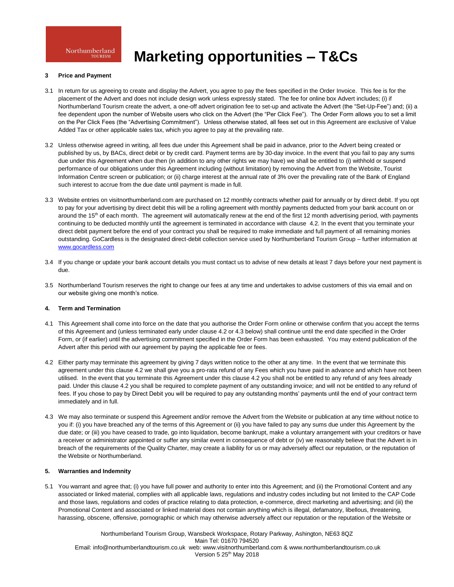# **Marketing opportunities – T&Cs**

### **3 Price and Payment**

- 3.1 In return for us agreeing to create and display the Advert, you agree to pay the fees specified in the Order Invoice. This fee is for the placement of the Advert and does not include design work unless expressly stated. The fee for online box Advert includes; (i) if Northumberland Tourism create the advert, a one-off advert origination fee to set-up and activate the Advert (the "Set-Up-Fee") and; (ii) a fee dependent upon the number of Website users who click on the Advert (the "Per Click Fee"). The Order Form allows you to set a limit on the Per Click Fees (the "Advertising Commitment"). Unless otherwise stated, all fees set out in this Agreement are exclusive of Value Added Tax or other applicable sales tax, which you agree to pay at the prevailing rate.
- 3.2 Unless otherwise agreed in writing, all fees due under this Agreement shall be paid in advance, prior to the Advert being created or published by us, by BACs, direct debit or by credit card. Payment terms are by 30-day invoice. In the event that you fail to pay any sums due under this Agreement when due then (in addition to any other rights we may have) we shall be entitled to (i) withhold or suspend performance of our obligations under this Agreement including (without limitation) by removing the Advert from the Website, Tourist Information Centre screen or publication; or (ii) charge interest at the annual rate of 3% over the prevailing rate of the Bank of England such interest to accrue from the due date until payment is made in full.
- 3.3 Website entries on visitnorthumberland.com are purchased on 12 monthly contracts whether paid for annually or by direct debit. If you opt to pay for your advertising by direct debit this will be a rolling agreement with monthly payments deducted from your bank account on or around the 15<sup>th</sup> of each month. The agreement will automatically renew at the end of the first 12 month advertising period, with payments continuing to be deducted monthly until the agreement is terminated in accordance with clause 4.2. In the event that you terminate your direct debit payment before the end of your contract you shall be required to make immediate and full payment of all remaining monies outstanding. GoCardless is the designated direct-debit collection service used by Northumberland Tourism Group – further information at [www.gocardless.com](http://www.gocardless.com/)
- 3.4 If you change or update your bank account details you must contact us to advise of new details at least 7 days before your next payment is due.
- 3.5 Northumberland Tourism reserves the right to change our fees at any time and undertakes to advise customers of this via email and on our website giving one month's notice.

## **4. Term and Termination**

- 4.1 This Agreement shall come into force on the date that you authorise the Order Form online or otherwise confirm that you accept the terms of this Agreement and (unless terminated early under clause 4.2 or 4.3 below) shall continue until the end date specified in the Order Form, or (if earlier) until the advertising commitment specified in the Order Form has been exhausted. You may extend publication of the Advert after this period with our agreement by paying the applicable fee or fees.
- 4.2 Either party may terminate this agreement by giving 7 days written notice to the other at any time. In the event that we terminate this agreement under this clause 4.2 we shall give you a pro-rata refund of any Fees which you have paid in advance and which have not been utilised. In the event that you terminate this Agreement under this clause 4.2 you shall not be entitled to any refund of any fees already paid. Under this clause 4.2 you shall be required to complete payment of any outstanding invoice; and will not be entitled to any refund of fees. If you chose to pay by Direct Debit you will be required to pay any outstanding months' payments until the end of your contract term immediately and in full.
- 4.3 We may also terminate or suspend this Agreement and/or remove the Advert from the Website or publication at any time without notice to you if: (i) you have breached any of the terms of this Agreement or (ii) you have failed to pay any sums due under this Agreement by the due date; or (iii) you have ceased to trade, go into liquidation, become bankrupt, make a voluntary arrangement with your creditors or have a receiver or administrator appointed or suffer any similar event in consequence of debt or (iv) we reasonably believe that the Advert is in breach of the requirements of the Quality Charter, may create a liability for us or may adversely affect our reputation, or the reputation of the Website or Northumberland.

### **5. Warranties and Indemnity**

5.1 You warrant and agree that; (i) you have full power and authority to enter into this Agreement; and (ii) the Promotional Content and any associated or linked material, complies with all applicable laws, regulations and industry codes including but not limited to the CAP Code and those laws, regulations and codes of practice relating to data protection, e-commerce, direct marketing and advertising; and (iii) the Promotional Content and associated or linked material does not contain anything which is illegal, defamatory, libellous, threatening, harassing, obscene, offensive, pornographic or which may otherwise adversely affect our reputation or the reputation of the Website or

Northumberland Tourism Group, Wansbeck Workspace, Rotary Parkway, Ashington, NE63 8QZ Main Tel: 01670 794520 Email: info@northumberlandtourism.co.uk web: www.visitnorthumberland.com & www.northumberlandtourism.co.uk Version 5 25<sup>th</sup> May 2018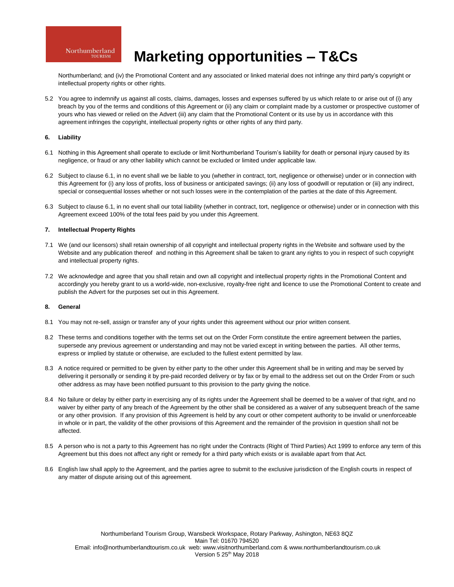# **Marketing opportunities – T&Cs**

Northumberland; and (iv) the Promotional Content and any associated or linked material does not infringe any third party's copyright or intellectual property rights or other rights.

5.2 You agree to indemnify us against all costs, claims, damages, losses and expenses suffered by us which relate to or arise out of (i) any breach by you of the terms and conditions of this Agreement or (ii) any claim or complaint made by a customer or prospective customer of yours who has viewed or relied on the Advert (iii) any claim that the Promotional Content or its use by us in accordance with this agreement infringes the copyright, intellectual property rights or other rights of any third party.

### **6. Liability**

- 6.1 Nothing in this Agreement shall operate to exclude or limit Northumberland Tourism's liability for death or personal injury caused by its negligence, or fraud or any other liability which cannot be excluded or limited under applicable law.
- 6.2 Subject to clause 6.1, in no event shall we be liable to you (whether in contract, tort, negligence or otherwise) under or in connection with this Agreement for (i) any loss of profits, loss of business or anticipated savings; (ii) any loss of goodwill or reputation or (iii) any indirect, special or consequential losses whether or not such losses were in the contemplation of the parties at the date of this Agreement.
- 6.3 Subject to clause 6.1, in no event shall our total liability (whether in contract, tort, negligence or otherwise) under or in connection with this Agreement exceed 100% of the total fees paid by you under this Agreement.

## **7. Intellectual Property Rights**

- 7.1 We (and our licensors) shall retain ownership of all copyright and intellectual property rights in the Website and software used by the Website and any publication thereof and nothing in this Agreement shall be taken to grant any rights to you in respect of such copyright and intellectual property rights.
- 7.2 We acknowledge and agree that you shall retain and own all copyright and intellectual property rights in the Promotional Content and accordingly you hereby grant to us a world-wide, non-exclusive, royalty-free right and licence to use the Promotional Content to create and publish the Advert for the purposes set out in this Agreement.

### **8. General**

- 8.1 You may not re-sell, assign or transfer any of your rights under this agreement without our prior written consent.
- 8.2 These terms and conditions together with the terms set out on the Order Form constitute the entire agreement between the parties, supersede any previous agreement or understanding and may not be varied except in writing between the parties. All other terms, express or implied by statute or otherwise, are excluded to the fullest extent permitted by law.
- 8.3 A notice required or permitted to be given by either party to the other under this Agreement shall be in writing and may be served by delivering it personally or sending it by pre-paid recorded delivery or by fax or by email to the address set out on the Order From or such other address as may have been notified pursuant to this provision to the party giving the notice.
- 8.4 No failure or delay by either party in exercising any of its rights under the Agreement shall be deemed to be a waiver of that right, and no waiver by either party of any breach of the Agreement by the other shall be considered as a waiver of any subsequent breach of the same or any other provision. If any provision of this Agreement is held by any court or other competent authority to be invalid or unenforceable in whole or in part, the validity of the other provisions of this Agreement and the remainder of the provision in question shall not be affected.
- 8.5 A person who is not a party to this Agreement has no right under the Contracts (Right of Third Parties) Act 1999 to enforce any term of this Agreement but this does not affect any right or remedy for a third party which exists or is available apart from that Act.
- 8.6 English law shall apply to the Agreement, and the parties agree to submit to the exclusive jurisdiction of the English courts in respect of any matter of dispute arising out of this agreement.